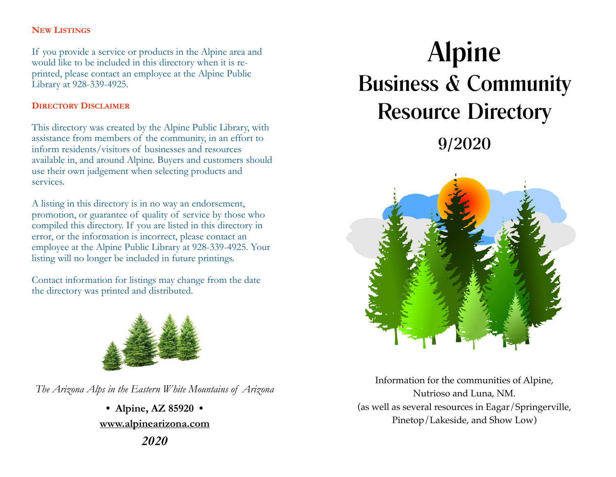### **NEW LISTINGS**

If you provide a service or products in the Alpine area and would like to be included in this directory when it is reprinted, please contact an employee at the Alpine Public Library at 928-339-4925.

### **DIRECTORY DISCLAIMER**

This directory was created by the Alpine Public Library, with assistance from members of the community, in an effort to inform residents/visitors of businesses and resources available in, and around Alpine. Buyers and customers should use their own judgement when selecting products and services.

A listing in this directory is in no way an endorsement, promotion, or guarantee of quality of service by those who compiled this directory. If you are listed in this directory in error, or the information is incorrect, please contact an employee at the Alpine Public Library at 928-339-4925. Your listing will no longer be included in future printings.

Contact information for listings may change from the date the directory was printed and distributed.



*The Arizona Alps in the Eastern White Mountains of Arizona* 

**• Alpine, AZ 85920 • www.alpinearizona.com**  *2020*

# Alpine Business & Community Resource Directory 9/2020



Information for the communities of Alpine, Nutrioso and Luna, NM. (as well as several resources in Eagar/Springerville, Pinetop/Lakeside, and Show Low)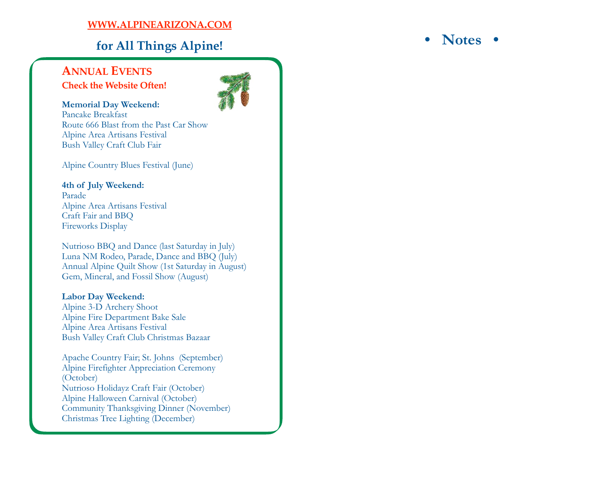### **WWW .ALPINEARIZONA .COM**

## **for All Things Alpine!**

### **ANNUAL EVENTS Check the Website Often!**



**Memorial Day Weekend:**  Pancake Breakfast Route 666 Blast from the Past Car Show Alpine Area Artisans Festival Bush Valley Craft Club Fair

Alpine Country Blues Festival (June)

#### **4th of July Weekend:**  Parade Alpine Area Artisans Festival Craft Fair and BBQ Fireworks Display

Nutrioso BBQ and Dance (last Saturday in July) Luna NM Rodeo, Parade, Dance and BBQ (July) Annual Alpine Quilt Show (1st Saturday in August) Gem, Mineral, and Fossil Show (August)

### **Labor Day Weekend:**

Alpine 3-D Archery Shoot Alpine Fire Department Bake Sale Alpine Area Artisans Festival Bush Valley Craft Club Christmas Bazaar

Apache Country Fair; St. Johns (September) Alpine Firefighter Appreciation Ceremony (October) Nutrioso Holidayz Craft Fair (October) Alpine Halloween Carnival (October) Community Thanksgiving Dinner (November) Christmas Tree Lighting (December)

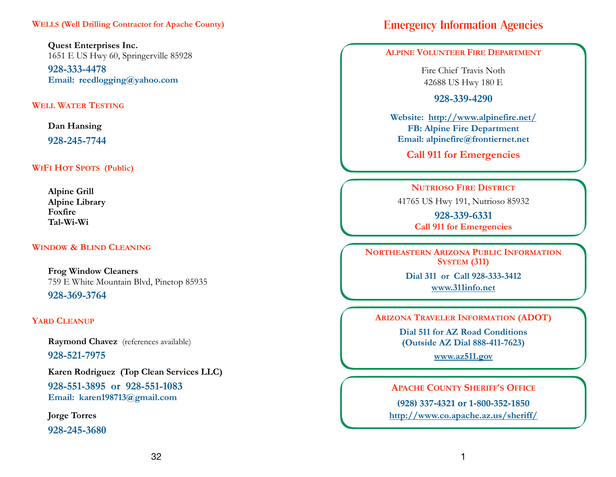**Quest Enterprises Inc.** 1651 E US Hwy 60, Springerville 85928

**928-333-4478 Email: reedlogging@yahoo.com** 

#### **WELL WATER TESTING**

**Dan Hansing** 

**928-245-7744**

**WIFI HOT SPOTS (Public)**

**Alpine Grill Alpine Library Foxfire Tal-Wi-Wi** 

#### **WINDOW & BLIND CLEANING**

**Frog Window Cleaners**  759 E White Mountain Blvd, Pinetop 85935 **928-369-3764**

#### **YARD CLEANUP**

**Raymond Chavez** (references available) **928-521-7975** 

**Karen Rodriguez (Top Clean Services LLC)** 

**928-551-3895 or 928-551-1083 Email: karen198713@gmail.com**

**Jorge Torres** 

**928-245-3680**

## Emergency Information Agencies

#### **ALPINE VOLUNTEER FIRE DEPARTMENT**

Fire Chief Travis Noth 42688 US Hwy 180 E

**928-339-4290** 

**Website: <http://www.alpinefire.net/> FB: Alpine Fire Department Email: alpinefire@frontiernet.net** 

**Call 911 for Emergencies**

#### **NUTRIOSO FIRE DISTRICT**

41765 US Hwy 191, Nutrioso 85932

**928-339-6331 Call 911 for Emergencies**

**NORTHEASTERN ARIZONA PUBLIC INFORMATION SYSTEM (311)** 

> **Dial 311 or Call 928-333-3412 www.311info.net**

**ARIZONA TRAVELER INFORMATION (ADOT)** 

**Dial 511 for AZ Road Conditions (Outside AZ Dial 888-411-7623)** 

**[www.az511.gov](http://www.az511.gov)**

**APACHE COUNTY SHERIFF'S OFFICE**

**(928) 337-4321 or 1-800-352-1850 http://www.co.apache.az.us/sheriff/**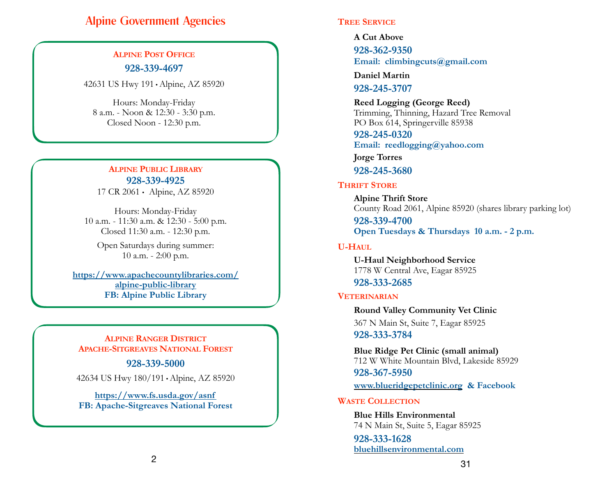## Alpine Government Agencies

### **ALPINE POST OFFICE 928-339-4697**

42631 US Hwy 191 • Alpine, AZ 85920

Hours: Monday-Friday 8 a.m. - Noon & 12:30 - 3:30 p.m. Closed Noon - 12:30 p.m.

### **ALPINE PUBLIC LIBRARY 928-339-4925**

17 CR 2061 • Alpine, AZ 85920

Hours: Monday-Friday 10 a.m. - 11:30 a.m. & 12:30 - 5:00 p.m. Closed 11:30 a.m. - 12:30 p.m.

Open Saturdays during summer: 10 a.m. - 2:00 p.m.

**https://www.apachecountylibraries.com/ alpine-public-library FB: Alpine Public Library**

#### **ALPINE RANGER DISTRICT APACHE-SITGREAVES NATIONAL FOREST**

#### **928-339-5000**

42634 US Hwy 180/191 • Alpine, AZ 85920

**https://www.fs.usda.gov/asnf FB: Apache-Sitgreaves National Forest**

#### **TREE SERVICE**

**A Cut Above** 

**928-362-9350 Email: climbingcuts@gmail.com** 

**Daniel Martin** 

**928-245-3707** 

#### **Reed Logging (George Reed)**

 Trimming, Thinning, Hazard Tree Removal PO Box 614, Springerville 85938

**928-245-0320 Email: reedlogging@yahoo.com**

**Jorge Torres** 

### **928-245-3680**

#### **THRIFT STORE**

 **Alpine Thrift Store** County Road 2061, Alpine 85920 (shares library parking lot)

**928-339-4700 Open Tuesdays & Thursdays 10 a.m. - 2 p.m.**

#### **U-HAUL**

 **U-Haul Neighborhood Service** 1778 W Central Ave, Eagar 85925 **928-333-2685** 

#### **VETERINARIAN**

**Round Valley Community Vet Clinic** 367 N Main St, Suite 7, Eagar 85925 **928-333-3784** 

**Blue Ridge Pet Clinic (small animal)** 712 W White Mountain Blvd, Lakeside 85929 **928-367-5950** 

**www.blueridgepetclinic.org & Facebook**

#### **WASTE COLLECTION**

 **Blue Hills Environmental**  74 N Main St, Suite 5, Eagar 85925

**928-333-1628 bluehillsenvironmental.com**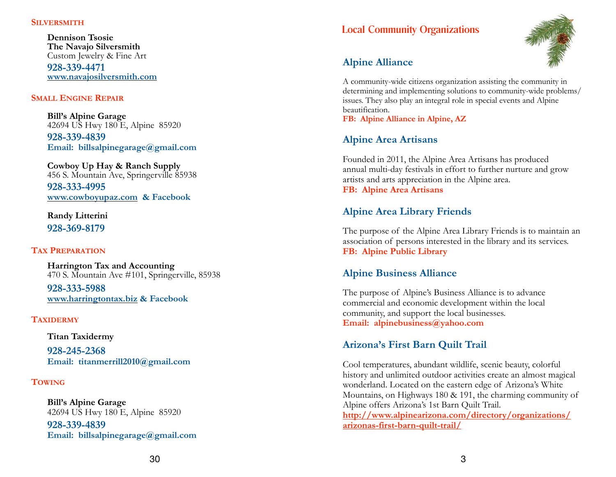#### **SILVERSMITH**

 **Dennison Tsosie The Navajo Silversmith**  Custom Jewelry & Fine Art **928-339-4471 www.navajosilversmith.com**

#### **SMALL ENGINE REPAIR**

 **Bill's Alpine Garage** 42694 US Hwy 180 E, Alpine 85920 **928-339-4839 Email: billsalpinegarage@gmail.com**

 **Cowboy Up Hay & Ranch Supply** 456 S. Mountain Ave, Springerville 85938 **928-333-4995 www.cowboyupaz.com & Facebook**

**Randy Litterini 928-369-8179** 

#### **TAX PREPARATION**

 **Harrington Tax and Accounting** 470 S. Mountain Ave #101, Springerville, 85938

**928-333-5988 www.harringtontax.biz & Facebook** 

#### **TAXIDERMY**

#### **Titan Taxidermy**

**928-245-2368 Email: titanmerrill2010@gmail.com** 

#### **TOWING**

**Bill's Alpine Garage** 42694 US Hwy 180 E, Alpine 85920 **928-339-4839 Email: billsalpinegarage@gmail.com**

### Local Community Organizations



### **Alpine Alliance**

A community-wide citizens organization assisting the community in determining and implementing solutions to community-wide problems/ issues. They also play an integral role in special events and Alpine beautification.

**FB: Alpine Alliance in Alpine, AZ** 

### **Alpine Area Artisans**

Founded in 2011, the Alpine Area Artisans has produced annual multi-day festivals in effort to further nurture and grow artists and arts appreciation in the Alpine area. **FB: Alpine Area Artisans** 

### **Alpine Area Library Friends**

The purpose of the Alpine Area Library Friends is to maintain an association of persons interested in the library and its services. **FB: Alpine Public Library** 

### **Alpine Business Alliance**

The purpose of Alpine's Business Alliance is to advance commercial and economic development within the local community, and support the local businesses. **Email: alpinebusiness@yahoo.com** 

### **Arizona's First Barn Quilt Trail**

Cool temperatures, abundant wildlife, scenic beauty, colorful history and unlimited outdoor activities create an almost magical wonderland. Located on the eastern edge of Arizona's White Mountains, on Highways 180 & 191, the charming community of Alpine offers Arizona's 1st Barn Quilt Trail.

**http://www.alpinearizona.com/directory/organizations/ arizonas-first-barn-quilt-trail/**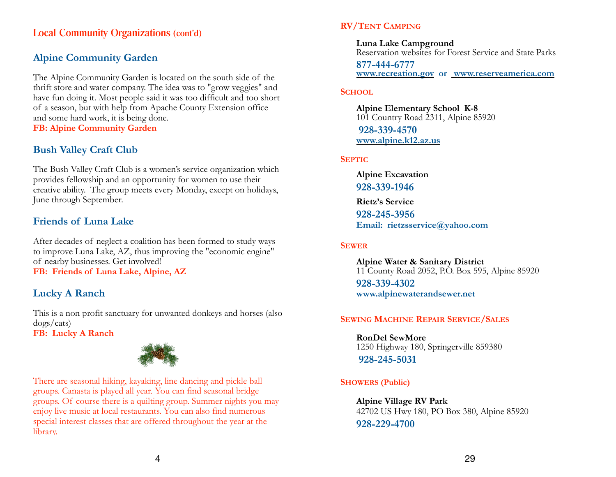### Local Community Organizations (cont'd)

### **Alpine Community Garden**

The Alpine Community Garden is located on the south side of the thrift store and water company. The idea was to "grow veggies" and have fun doing it. Most people said it was too difficult and too short of a season, but with help from Apache County Extension office and some hard work, it is being done. **FB: Alpine Community Garden** 

### **Bush Valley Craft Club**

The Bush Valley Craft Club is a women's service organization which provides fellowship and an opportunity for women to use their creative ability. The group meets every Monday, except on holidays, June through September.

### **Friends of Luna Lake**

After decades of neglect a coalition has been formed to study ways to improve Luna Lake, AZ, thus improving the "economic engine" of nearby businesses. Get involved! **FB: Friends of Luna Lake, Alpine, AZ** 

### **Lucky A Ranch**

This is a non profit sanctuary for unwanted donkeys and horses (also dogs/cats) **FB: Lucky A Ranch** 



There are seasonal hiking, kayaking, line dancing and pickle ball groups. Canasta is played all year. You can find seasonal bridge groups. Of course there is a quilting group. Summer nights you may enjoy live music at local restaurants. You can also find numerous special interest classes that are offered throughout the year at the library.

### **RV/TENT CAMPING**

**Luna Lake Campground**  Reservation websites for Forest Service and State Parks

**877-444-6777 www.recreation.gov or www.reserveamerica.com** 

#### **SCHOOL**

**Alpine Elementary School K-8**  101 Country Road 2311, Alpine 85920 **928-339-4570 www.alpine.k12.az.us** 

#### **SEPTIC**

 **Alpine Excavation 928-339-1946 Rietz's Service 928-245-3956 Email: rietzsservice@yahoo.com**

#### **SEWER**

**Alpine Water & Sanitary District** 11 County Road 2052, P.O. Box 595, Alpine 85920 **928-339-4302 www.alpinewaterandsewer.net** 

#### **SEWING MACHINE REPAIR SERVICE/SALES**

**RonDel SewMore**  1250 Highway 180, Springerville 859380 **928-245-5031**

### **SHOWERS (Public)**

**Alpine Village RV Park** 42702 US Hwy 180, PO Box 380, Alpine 85920 **928-229-4700**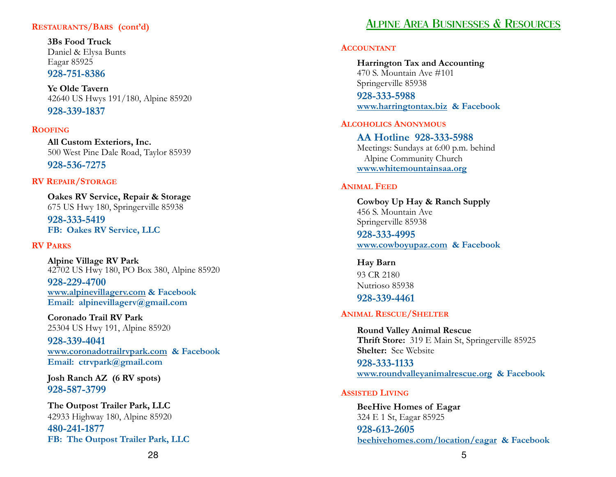#### **RESTAURANTS/BARS (cont'd)**

**3Bs Food Truck** Daniel & Elysa Bunts Eagar 85925 **928-751-8386**

**Ye Olde Tavern**  42640 US Hwys 191/180, Alpine 85920 **928-339-1837** 

#### **ROOFING**

**All Custom Exteriors, Inc.**  500 West Pine Dale Road, Taylor 85939 **928-536-7275** 

#### **RV REPAIR/STORAGE**

**Oakes RV Service, Repair & Storage**  675 US Hwy 180, Springerville 85938

**928-333-5419 FB: Oakes RV Service, LLC**

#### **RV PARKS**

**Alpine Village RV Park** 42702 US Hwy 180, PO Box 380, Alpine 85920

**928-229-4700 www.alpinevillagerv.com & Facebook Email: alpinevillagerv@gmail.com**

**Coronado Trail RV Park** 25304 US Hwy 191, Alpine 85920

**928-339-4041 www.coronadotrailrvpark.com & Facebook Email: ctrvpark@gmail.com** 

 **Josh Ranch AZ (6 RV spots) 928-587-3799** 

**The Outpost Trailer Park, LLC** 42933 Highway 180, Alpine 85920

**480-241-1877 FB: The Outpost Trailer Park, LLC** 

## ALPINE AREA BUSINESSES & RESOURCES

#### **ACCOUNTANT**

 **Harrington Tax and Accounting** 470 S. Mountain Ave #101 Springerville 85938 **928-333-5988** 

**www.harringtontax.biz & Facebook** 

#### **ALCOHOLICS ANONYMOUS**

**AA Hotline 928-333-5988**  Meetings: Sundays at 6:00 p.m. behind Alpine Community Church **www.whitemountainsaa.org**

#### **ANIMAL FEED**

 **Cowboy Up Hay & Ranch Supply** 456 S. Mountain Ave Springerville 85938

**928-333-4995 www.cowboyupaz.com & Facebook**

 **Hay Barn** 93 CR 2180 Nutrioso 85938 **928-339-4461** 

#### **ANIMAL RESCUE/SHELTER**

 **Round Valley Animal Rescue Thrift Store:** 319 E Main St, Springerville 85925 **Shelter:** See Website

**928-333-1133 www.roundvalleyanimalrescue.org & Facebook**

#### **ASSISTED LIVING**

 **BeeHive Homes of Eagar** 324 E 1 St, Eagar 85925

**928-613-2605 beehivehomes.com/location/eagar & Facebook**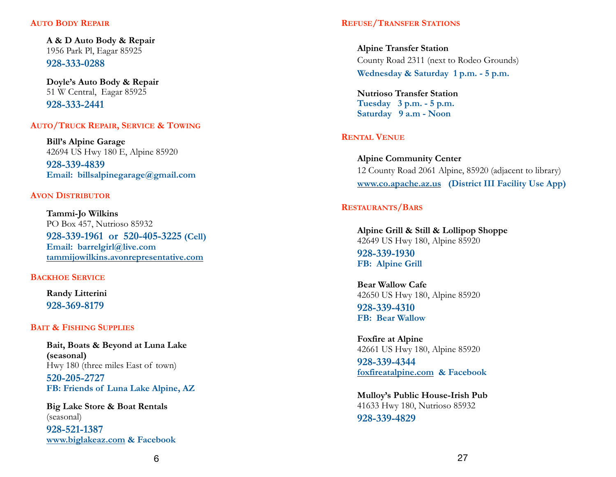#### **AUTO BODY REPAIR**

 **A & D Auto Body & Repair** 1956 Park Pl, Eagar 85925 **928-333-0288**

 **Doyle's Auto Body & Repair** 51 W Central, Eagar 85925 **928-333-2441** 

**AUTO/TRUCK REPAIR, SERVICE & TOWING**

 **Bill's Alpine Garage** 42694 US Hwy 180 E, Alpine 85920 **928-339-4839 Email: billsalpinegarage@gmail.com**

#### **AVON DISTRIBUTOR**

 **Tammi-Jo Wilkins** PO Box 457, Nutrioso 85932 **928-339-1961 or 520-405-3225 (Cell) Email: barrelgirl@live.com tammijowilkins.avonrepresentative.com**

#### **BACKHOE SERVICE**

**Randy Litterini 928-369-8179** 

#### **BAIT & FISHING SUPPLIES**

 **Bait, Boats & Beyond at Luna Lake (seasonal)** Hwy 180 (three miles East of town) **520-205-2727 FB: Friends of Luna Lake Alpine, AZ**

 **Big Lake Store & Boat Rentals**  (seasonal)

**928-521-1387 www.biglakeaz.com & Facebook**

**Alpine Transfer Station** County Road 2311 (next to Rodeo Grounds) **Wednesday & Saturday 1 p.m. - 5 p.m.**

**Nutrioso Transfer Station Tuesday 3 p.m. - 5 p.m. Saturday 9 a.m - Noon RENTAL VENUE**

**Alpine Community Center** 12 County Road 2061 Alpine, 85920 (adjacent to library) **www.co.apache.az.us (District III Facility Use App)**

#### **RESTAURANTS/BARS**

**Alpine Grill & Still & Lollipop Shoppe**  42649 US Hwy 180, Alpine 85920

**928-339-1930 FB: Alpine Grill** 

REFUSE/TRANSFER STATIONS<br> **Alpine Transfer Station**<br>
County Road 2311 (next to Reduceday & Saturday 1 p.<br> **Nutrioso Transfer Station**<br> **REFTAL VENUE**<br> **REFTAL VENUE**<br> **Alpine Community Center**<br> **Particular State of Station Bear Wallow Cafe**  42650 US Hwy 180, Alpine 85920 **928-339-4310 FB: Bear Wallow** 

**Foxfire at Alpine**  42661 US Hwy 180, Alpine 85920

**928-339-4344 foxfireatalpine.com & Facebook** 

**Mulloy's Public House-Irish Pub**  41633 Hwy 180, Nutrioso 85932 **928-339-4829**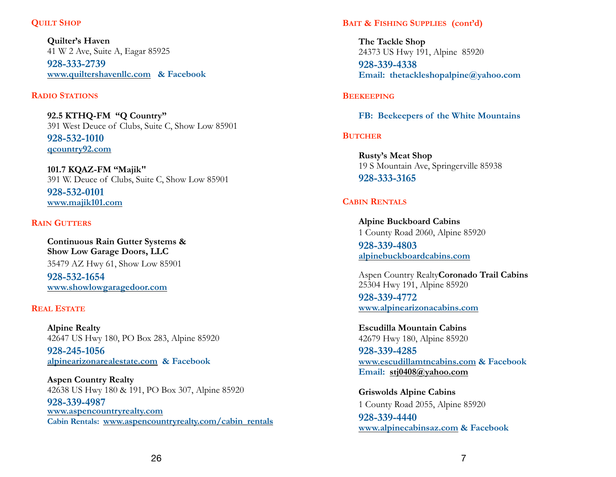#### **QUILT SHOP**

**Quilter's Haven**  41 W 2 Ave, Suite A, Eagar 85925 **928-333-2739 www.quiltershavenllc.com & Facebook** 

#### **RADIO STATIONS**

**92.5 KTHQ-FM "Q Country"**  391 West Deuce of Clubs, Suite C, Show Low 85901

**928-532-1010 qcountry92.com**

**101.7 KQAZ-FM "Majik"**  391 W. Deuce of Clubs, Suite C, Show Low 85901

**928-532-0101 www.majik101.com** 

#### **RAIN GUTTERS**

**Continuous Rain Gutter Systems & Show Low Garage Doors, LLC** 35479 AZ Hwy 61, Show Low 85901

**928-532-1654 www.showlowgaragedoor.com** 

#### **REAL ESTATE**

**Alpine Realty**  42647 US Hwy 180, PO Box 283, Alpine 85920

**928-245-1056 alpinearizonarealestate.com & Facebook** 

**Aspen Country Realty**  42638 US Hwy 180 & 191, PO Box 307, Alpine 85920

**928-339-4987 www.aspencountryrealty.com Cabin Rentals: www.aspencountryrealty.com/cabin\_rentals**

#### **BAIT & FISHING SUPPLIES (cont'd)**

**The Tackle Shop**  24373 US Hwy 191, Alpine 85920 **928-339-4338 Email: thetackleshopalpine@yahoo.com** 

#### **BEEKEEPING**

**FB: Beekeepers of the White Mountains** 

#### **BUTCHER**

**Rusty's Meat Shop** 19 S Mountain Ave, Springerville 85938 **928-333-3165**

### **CABIN RENTALS**

**Alpine Buckboard Cabins** 1 County Road 2060, Alpine 85920 **928-339-4803 alpinebuckboardcabins.com**

 Aspen Country Realty**Coronado Trail Cabins** 25304 Hwy 191, Alpine 85920

**928-339-4772 www.alpinearizonacabins.com**

**Escudilla Mountain Cabins** 42679 Hwy 180, Alpine 85920

**928-339-4285 www.escudillamtncabins.com & Facebook Email: [stj0408@yahoo.com](mailto:stj0408@yahoo.com)**

**Griswolds Alpine Cabins** 1 County Road 2055, Alpine 85920 **928-339-4440 www.alpinecabinsaz.com & Facebook**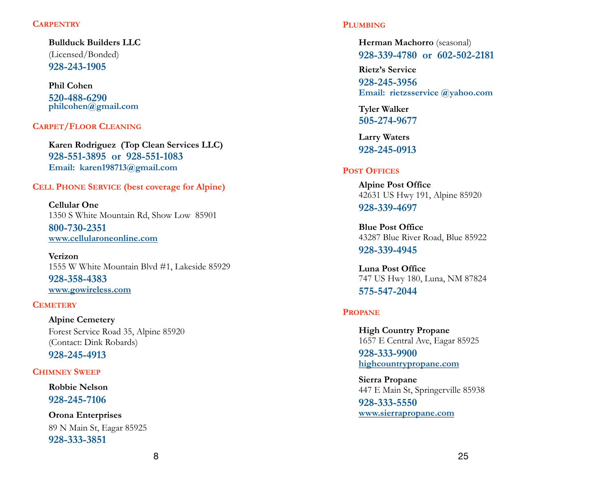#### **CARPENTRY**

 **Bullduck Builders LLC** (Licensed/Bonded)  **928-243-1905** 

**Phil Cohen 520-488-6290 philcohen@gmail.com** 

#### **CARPET/FLOOR CLEANING**

**Karen Rodriguez (Top Clean Services LLC) 928-551-3895 or 928-551-1083 Email: karen198713@gmail.com** 

#### **CELL PHONE SERVICE (best coverage for Alpine)**

 **Cellular One**  1350 S White Mountain Rd, Show Low 85901 **800-730-2351 www.cellularoneonline.com**

 **Verizon**  1555 W White Mountain Blvd #1, Lakeside 85929 **928-358-4383 www.gowireless.com**

#### **CEMETERY**

**Alpine Cemetery** Forest Service Road 35, Alpine 85920 (Contact: Dink Robards) **928-245-4913** 

#### **CHIMNEY SWEEP**

**Robbie Nelson 928-245-7106** 

**Orona Enterprises** 89 N Main St, Eagar 85925 **928-333-3851**

#### **PLUMBING**

**Herman Machorro** (seasonal) **928-339-4780 or 602-502-2181** 

 **Rietz's Service 928-245-3956 Email: rietzsservice @yahoo.com** 

**Tyler Walker 505-274-9677 Larry Waters**

**928-245-0913** 

#### **POST OFFICES**

**Alpine Post Office**  42631 US Hwy 191, Alpine 85920 **928-339-4697**

**Blue Post Office**  43287 Blue River Road, Blue 85922

**928-339-4945**

**Luna Post Office**  747 US Hwy 180, Luna, NM 87824 **575-547-2044** 

#### **PROPANE**

**High Country Propane**  1657 E Central Ave, Eagar 85925

**928-333-9900 highcountrypropane.com Sierra Propane** 

447 E Main St, Springerville 85938 **928-333-5550 www.sierrapropane.com**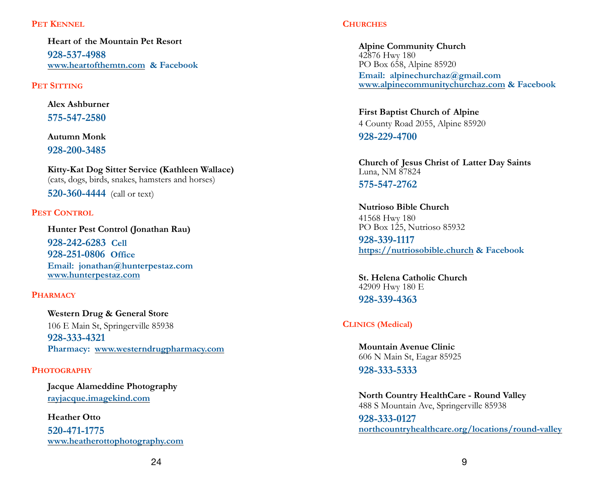#### PET **KENNEL**

**Heart of the Mountain Pet Resort 928-537-4988 www.heartofthemtn.com & Facebook**

#### **PET SITTING**

**Alex Ashburner 575-547-2580** 

**Autumn Monk 928-200-3485** 

**Kitty-Kat Dog Sitter Service (Kathleen Wallace)** (cats, dogs, birds, snakes, hamsters and horses)

**520-360-4444** (call or text)

#### **PEST CONTROL**

 **Hunter Pest Control (Jonathan Rau) 928-242-6283 Cell 928-251-0806 Office Email: jonathan@hunterpestaz.com www.hunterpestaz.com**

#### **PHARMACY**

 **Western Drug & General Store** 106 E Main St, Springerville 85938  **928-333-4321 Pharmacy: www.westerndrugpharmacy.com** 

#### **PHOTOGRAPHY**

**Jacque Alameddine Photography rayjacque.imagekind.com**

 **Heather Otto 520-471-1775 www.heatherottophotography.com**

#### **CHURCHES**

**Alpine Community Church** 42876 Hwy 180 PO Box 658, Alpine 85920 **Email: alpinechurchaz@gmail.com www.alpinecommunitychurchaz.com & Facebook**

**First Baptist Church of Alpine** 4 County Road 2055, Alpine 85920

**928-229-4700**

**Church of Jesus Christ of Latter Day Saints** Luna, NM 87824 **575-547-2762**

**Nutrioso Bible Church** 41568 Hwy 180 PO Box 125, Nutrioso 85932

**928-339-1117 https://nutriosobible.church & Facebook**

**St. Helena Catholic Church** 42909 Hwy 180 E **928-339-4363** 

### **CLINICS (Medical)**

**Mountain Avenue Clinic** 606 N Main St, Eagar 85925

**928-333-5333** 

**North Country HealthCare - Round Valley** 488 S Mountain Ave, Springerville 85938

**928-333-0127 northcountryhealthcare.org/locations/round-valley**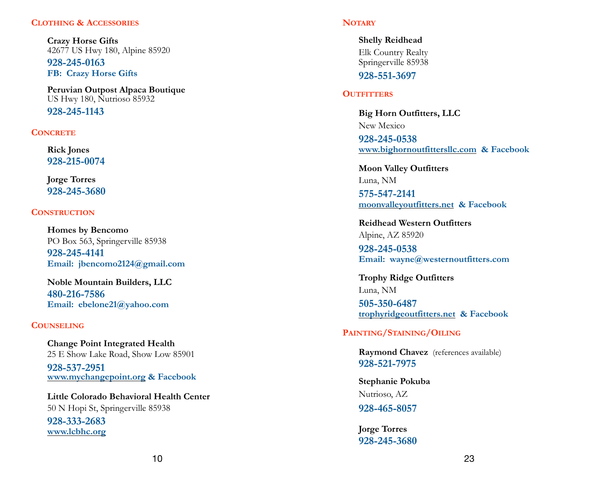#### **CLOTHING & ACCESSORIES**

**Crazy Horse Gifts** 42677 US Hwy 180, Alpine 85920

**928-245-0163 FB: Crazy Horse Gifts** 

**Peruvian Outpost Alpaca Boutique** US Hwy 180, Nutrioso 85932

**928-245-1143**

#### **CONCRETE**

**Rick Jones 928-215-0074** 

**Jorge Torres 928-245-3680** 

#### **CONSTRUCTION**

 **Homes by Bencomo** PO Box 563, Springerville 85938  **928-245-4141 Email: jbencomo2124@gmail.com** 

**Noble Mountain Builders, LLC 480-216-7586 Email: ebelone21@yahoo.com** 

#### **COUNSELING**

**Change Point Integrated Health** 25 E Show Lake Road, Show Low 85901 **928-537-2951 www.mychangepoint.org & Facebook**

 **Little Colorado Behavioral Health Center** 50 N Hopi St, Springerville 85938

**928-333-2683 www.lcbhc.org**

**Shelly Reidhead**  Elk Country Realty Springerville 85938

**928-551-3697** 

#### **OUTFITTERS**

NorMay<br>
Space Shelly Reidhead<br>
Els County Realty<br>
Springerville 85938<br>
328-551-3697<br>
Moutique<br>
328-551-3697<br>
OUTFITTERS<br>
Big Horn Outfitters, LLC<br>
New Mexico<br>
328-245-0538<br>
20000 Malley Outfitters.met & F<br>
Reidhead Western **Big Horn Outfitters, LLC**  New Mexico

**928-245-0538 www.bighornoutfittersllc.com & Facebook** 

 **Moon Valley Outfitters**  Luna, NM

**575-547-2141 moonvalleyoutfitters.net & Facebook** 

 **Reidhead Western Outfitters**  Alpine, AZ 85920

**928-245-0538 Email: wayne@westernoutfitters.com**

**Trophy Ridge Outfitters**  Luna, NM

**505-350-6487 trophyridgeoutfitters.net & Facebook** 

**PAINTING/STAINING/OILING**

**Raymond Chavez** (references available) **928-521-7975** 

**Stephanie Pokuba** Nutrioso, AZ  **928-465-8057** 

**Jorge Torres 928-245-3680**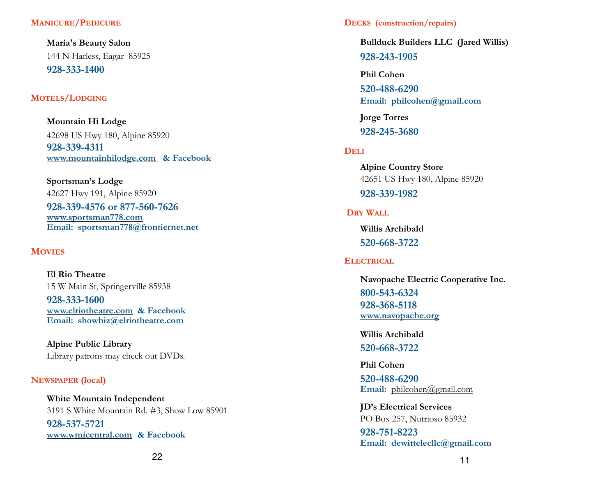#### **MANICURE/PEDICURE**

**Maria's Beauty Salon**  144 N Harless, Eagar 85925 **928-333-1400** 

#### **MOTELS/LODGING**

**Mountain Hi Lodge** 42698 US Hwy 180, Alpine 85920 **928-339-4311 www.mountainhilodge.com & Facebook**

**Sportsman's Lodge** 42627 Hwy 191, Alpine 85920 **928-339-4576 or 877-560-7626 www.sportsman778.com Email: sportsman778@frontiernet.net MOVIES**

 **El Rio Theatre**  15 W Main St, Springerville 85938

**928-333-1600 www.elriotheatre.com & Facebook Email: showbiz@elriotheatre.com** 

 **Alpine Public Library**  Library patrons may check out DVDs.

#### **NEWSPAPER (local)**

**White Mountain Independent**  3191 S White Mountain Rd. #3, Show Low 85901 **928-537-5721 www.wmicentral.com & Facebook**

#### **DECKS (construction/repairs)**

**Bullduck Builders LLC (Jared Willis) 928-243-1905**

 **Phil Cohen 520-488-6290 Email: philcohen@gmail.com**

**Jorge Torres 928-245-3680**

#### **DELI**

**Alpine Country Store** 42651 US Hwy 180, Alpine 85920

## **928-339-1982**

#### **DRY WALL**

**Willis Archibald 520-668-3722** 

#### **ELECTRICAL**

**Navopache Electric Cooperative Inc. 800-543-6324 928-368-5118 www.navopache.org**

**Willis Archibald**

#### **520-668-3722**

**Phil Cohen**

**520-488-6290 Email:** [philcohen@gmail.com](mailto:philcohen@gmail.com)

**JD's Electrical Services**  PO Box 257, Nutrioso 85932

**928-751-8223 Email: [dewittelecllc@gmail.com](mailto:dewittelecllc@gmail.com)**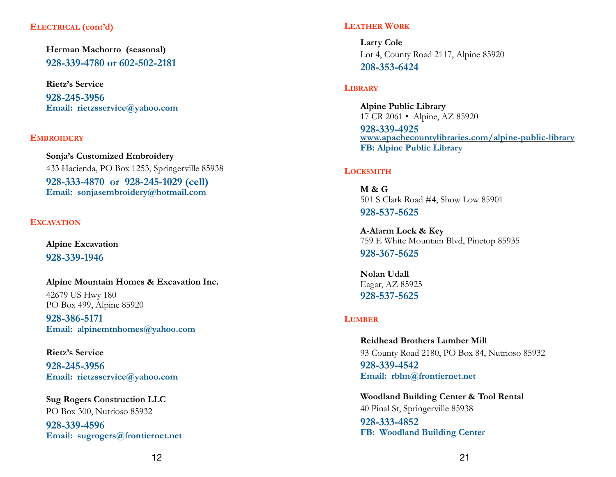#### **ELECTRICAL (cont'd)**

**Herman Machorro (seasonal) 928-339-4780 or 602-502-2181** 

**Rietz's Service 928-245-3956 Email: rietzsservice@yahoo.com** 

#### **EMBROIDERY**

 **Sonja's Customized Embroidery**  433 Hacienda, PO Box 1253, Springerville 85938 **928-333-4870 or 928-245-1029 (cell) Email: sonjasembroidery@hotmail.com** 

#### **EXCAVATION**

 **Alpine Excavation 928-339-1946** 

**Alpine Mountain Homes & Excavation Inc.**  42679 US Hwy 180 PO Box 499, Alpine 85920

**928-386-5171 Email: alpinemtnhomes@yahoo.com** 

**Rietz's Service 928-245-3956 Email: rietzsservice@yahoo.com** 

**Sug Rogers Construction LLC**  PO Box 300, Nutrioso 85932 **928-339-4596 Email: sugrogers@frontiernet.net** 

#### **LEATHER WORK**

**Larry Cole**  Lot 4, County Road 2117, Alpine 85920 **208-353-6424**

#### **LIBRARY**

 **Alpine Public Library** 17 CR 2061 • Alpine, AZ 85920 **928-339-4925 www.apachecountylibraries.com/alpine-public-library FB: Alpine Public Library** 

#### **LOCKSMITH**

**M & G** 501 S Clark Road #4, Show Low 85901 **928-537-5625** 

**A-Alarm Lock & Key** 759 E White Mountain Blvd, Pinetop 85935

**928-367-5625** 

**Nolan Udall**  Eagar, AZ 85925 **928-537-5625** 

#### **LUMBER**

**Reidhead Brothers Lumber Mill**  93 County Road 2180, PO Box 84, Nutrioso 85932 **928-339-4542 Email: rblm@frontiernet.net**

**Woodland Building Center & Tool Rental** 40 Pinal St, Springerville 85938

**928-333-4852 FB: Woodland Building Center**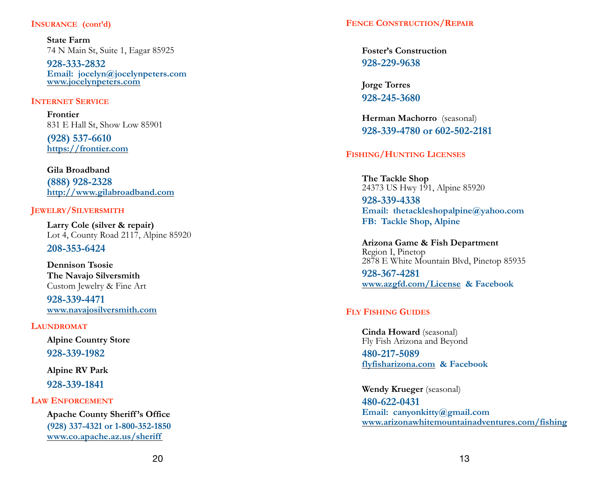**State Farm**  74 N Main St, Suite 1, Eagar 85925

**928-333-2832 Email: jocelyn@jocelynpeters.com www.jocelynpeters.com**

#### **INTERNET SERVICE**

 **Frontier** 831 E Hall St, Show Low 85901

**(928) 537-6610 https://[frontier.com](http://frontier.com)**

**Gila Broadband (888) 928-2328 http://www.gilabroadband.com**

#### **JEWELRY/SILVERSMITH**

**Larry Cole (silver & repair)**  Lot 4, County Road 2117, Alpine 85920

**208-353-6424** 

**Dennison Tsosie The Navajo Silversmith**  Custom Jewelry & Fine Art

**928-339-4471 www.navajosilversmith.com** 

#### **LAUNDROMAT**

**Alpine Country Store 928-339-1982** 

**Alpine RV Park**

 **928-339-1841 LAW ENFORCEMENT**

**Apache County Sheriff 's Office (928) 337-4321 or 1-800-352-1850 www.co.apache.az.us/sheriff** 

**Foster's Construction 928-229-9638** 

**Jorge Torres 928-245-3680** 

 **Herman Machorro** (seasonal) **928-339-4780 or 602-502-2181** 

### **FISHING/HUNTING LICENSES**

**The Tackle Shop**  24373 US Hwy 191, Alpine 85920 **928-339-4338 Email: thetackleshopalpine@yahoo.com FB: Tackle Shop, Alpine**

**Arizona Game & Fish Department**  Region I, Pinetop 2878 E White Mountain Blvd, Pinetop 85935

**928-367-4281 www.azgfd.com/License & Facebook** 

### **FLY FISHING GUIDES**

**Cinda Howard** (seasonal) Fly Fish Arizona and Beyond

**480-217-5089 flyfisharizona.com & Facebook** 

**Wendy Krueger** (seasonal) **480-622-0431 Email: canyonkitty@gmail.com [www.arizonawhitemountainadventures.com/fishing](http://www.arizonawhitemountainadventures.com/fishing)**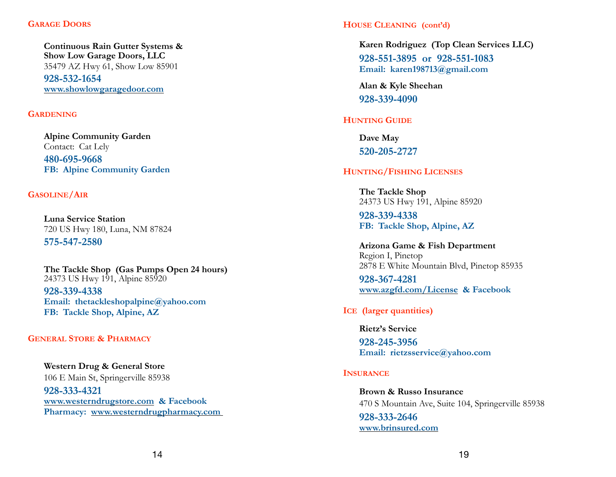**Continuous Rain Gutter Systems & Show Low Garage Doors, LLC** 35479 AZ Hwy 61, Show Low 85901 **928-532-1654 www.showlowgaragedoor.com** 

#### **GARDENING**

**Alpine Community Garden** Contact: Cat Lely **480-695-9668 FB: Alpine Community Garden**

#### **GASOLINE/AIR**

**Luna Service Station**  720 US Hwy 180, Luna, NM 87824

**575-547-2580** 

**The Tackle Shop (Gas Pumps Open 24 hours)**  24373 US Hwy 191, Alpine 85920 **928-339-4338 Email: thetackleshopalpine@yahoo.com FB: Tackle Shop, Alpine, AZ** 

#### **GENERAL STORE & PHARMACY**

**Western Drug & General Store** 106 E Main St, Springerville 85938

 **928-333-4321 www.westerndrugstore.com & Facebook Pharmacy: www.westerndrugpharmacy.com** 

#### **HOUSE CLEANING (cont'd)**

**Karen Rodriguez (Top Clean Services LLC) 928-551-3895 or 928-551-1083 Email: karen198713@gmail.com**

**Alan & Kyle Sheehan 928-339-4090** 

#### **HUNTING GUIDE**

**Dave May 520-205-2727** 

#### **HUNTING/FISHING LICENSES**

**The Tackle Shop**  24373 US Hwy 191, Alpine 85920

**928-339-4338 FB: Tackle Shop, Alpine, AZ**

**Arizona Game & Fish Department**  Region I, Pinetop 2878 E White Mountain Blvd, Pinetop 85935

**928-367-4281 www.azgfd.com/License & Facebook** 

#### **ICE (larger quantities)**

**Rietz's Service 928-245-3956** 

**Email: rietzsservice@yahoo.com** 

#### **INSURANCE**

**Brown & Russo Insurance**  470 S Mountain Ave, Suite 104, Springerville 85938  **928-333-2646 www.brinsured.com**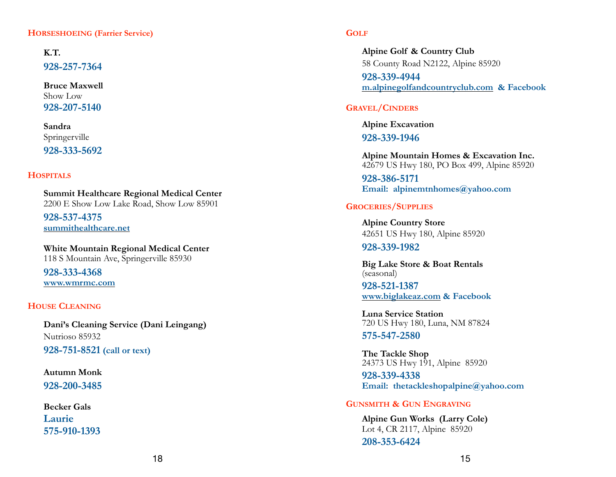#### **HORSESHOEING (Farrier Service)**

**K.T. 928-257-7364 Bruce Maxwell** 

Show Low **928-207-5140** 

 **Sandra**  Springerville

**928-333-5692** 

#### **HOSPITALS**

**Summit Healthcare Regional Medical Center** 2200 E Show Low Lake Road, Show Low 85901

**928-537-4375 summithealthcare.net** 

**White Mountain Regional Medical Center** 118 S Mountain Ave, Springerville 85930

**928-333-4368 www.wmrmc.com** 

#### **HOUSE CLEANING**

**Dani's Cleaning Service (Dani Leingang)**  Nutrioso 85932  **928-751-8521 (call or text)**

**Autumn Monk 928-200-3485**

**Becker Gals Laurie 575-910-1393** 

#### **GOLF**

 **Alpine Golf & Country Club** 58 County Road N2122, Alpine 85920  **928-339-4944 m.alpinegolfandcountryclub.com & Facebook** 

#### **GRAVEL/CINDERS**

**Alpine Excavation**

**928-339-1946**

**Alpine Mountain Homes & Excavation Inc.**  42679 US Hwy 180, PO Box 499, Alpine 85920

**928-386-5171 Email: alpinemtnhomes@yahoo.com** 

#### **GROCERIES/SUPPLIES**

**Alpine Country Store** 42651 US Hwy 180, Alpine 85920

#### **928-339-1982**

**Big Lake Store & Boat Rentals**  (seasonal)

**928-521-1387 www.biglakeaz.com & Facebook** 

**Luna Service Station**  720 US Hwy 180, Luna, NM 87824

**575-547-2580** 

**The Tackle Shop** 24373 US Hwy 191, Alpine 85920

**928-339-4338 Email: thetackleshopalpine@yahoo.com** 

#### **GUNSMITH & GUN ENGRAVING**

 **Alpine Gun Works (Larry Cole)**  Lot 4, CR 2117, Alpine 85920  **208-353-6424**